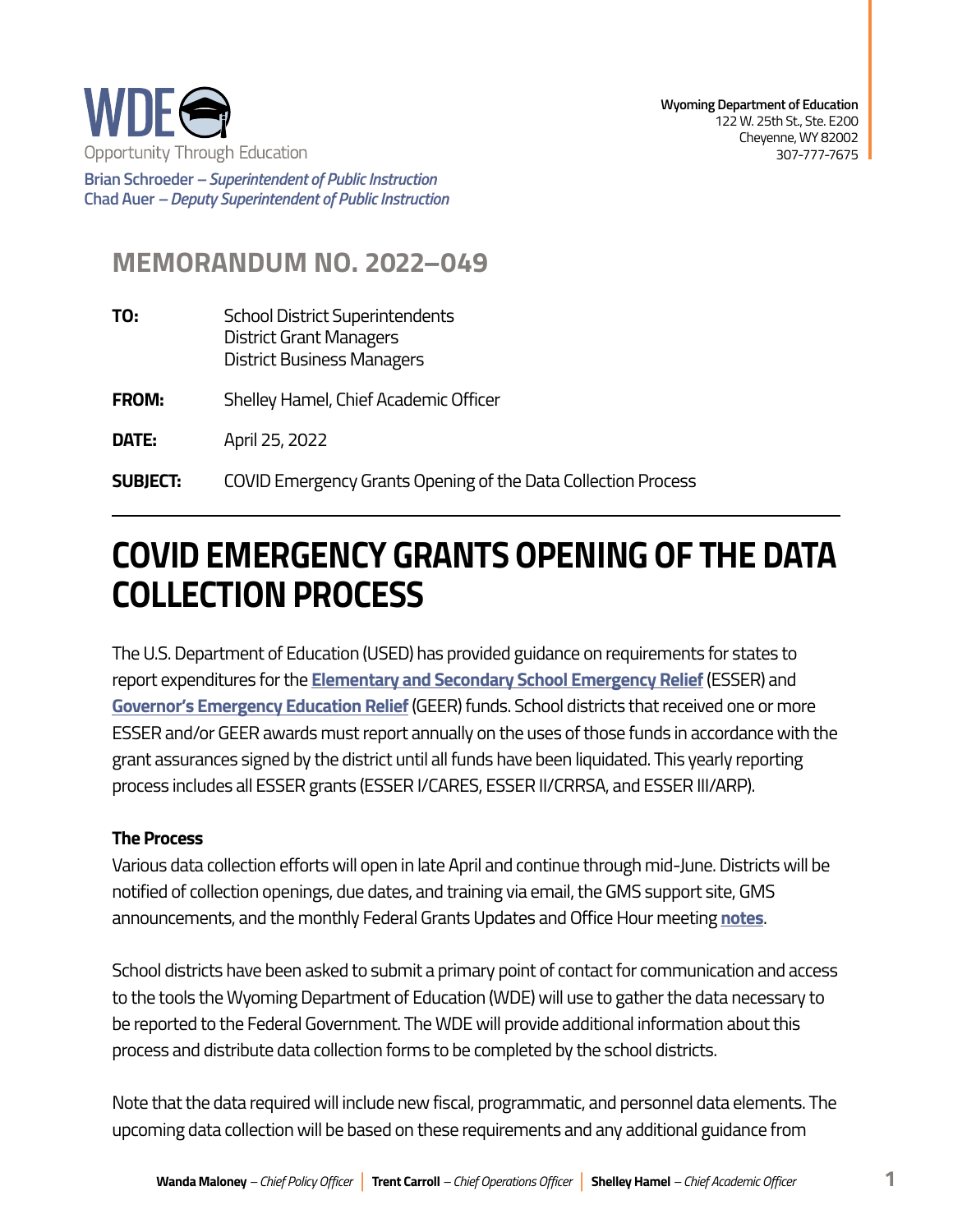

**Brian Schroeder –***Superintendent of Public Instruction*  **Chad Auer** *– Deputy Superintendent of Public Instruction* 

# **MEMORANDUM NO. 2022–049**

- **TO:** School District Superintendents District Grant Managers District Business Managers
- **FROM:** Shelley Hamel, Chief Academic Officer
- **DATE:** April 25, 2022
- **SUBJECT:** COVID Emergency Grants Opening of the Data Collection Process

# **COVID EMERGENCY GRANTS OPENING OF THE DATA COLLECTION PROCESS**

The U.S. Department of Education (USED) has provided guidance on requirements for states to report expenditures for the **[Elementary and Secondary School Emergency Relief](https://api.covid-relief-data.ed.gov/collection/api/v1/public/docs/ESSER%20Integrated%20Form_1_26_22.pdf)** (ESSER) and **[Governor's Emergency Education Relief](https://api.covid-relief-data.ed.gov/collection/api/v1/public/docs/GEER_Data_Collection_Final.pdf)** (GEER) funds. School districts that received one or more ESSER and/or GEER awards must report annually on the uses of those funds in accordance with the grant assurances signed by the district until all funds have been liquidated. This yearly reporting process includes all ESSER grants (ESSER I/CARES, ESSER II/CRRSA, and ESSER III/ARP).

#### **The Process**

Various data collection efforts will open in late April and continue through mid-June. Districts will be notified of collection openings, due dates, and training via email, the GMS support site, GMS announcements, and the monthly Federal Grants Updates and Office Hour meeting **[notes](https://docs.google.com/document/d/1EifMMtv9VshB8LxpFqkKYcIBtfeAjtUGBl8V5FDpB_M/edit)**.

School districts have been asked to submit a primary point of contact for communication and access to the tools the Wyoming Department of Education (WDE) will use to gather the data necessary to be reported to the Federal Government. The WDE will provide additional information about this process and distribute data collection forms to be completed by the school districts.

Note that the data required will include new fiscal, programmatic, and personnel data elements. The upcoming data collection will be based on these requirements and any additional guidance from